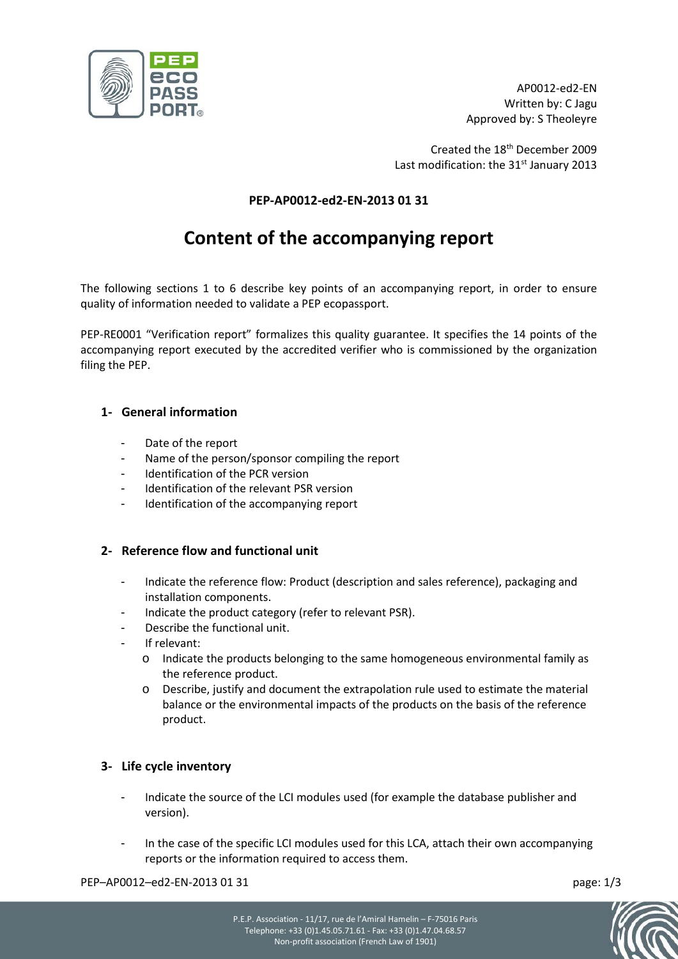

AP0012-ed2-EN Written by: C Jagu Approved by: S Theoleyre

Created the 18th December 2009 Last modification: the 31<sup>st</sup> January 2013

### **PEP-AP0012-ed2-EN-2013 01 31**

# **Content of the accompanying report**

The following sections 1 to 6 describe key points of an accompanying report, in order to ensure quality of information needed to validate a PEP ecopassport.

PEP-RE0001 "Verification report" formalizes this quality guarantee. It specifies the 14 points of the accompanying report executed by the accredited verifier who is commissioned by the organization filing the PEP.

#### **1- General information**

- Date of the report
- Name of the person/sponsor compiling the report
- Identification of the PCR version
- Identification of the relevant PSR version
- Identification of the accompanying report

#### **2- Reference flow and functional unit**

- Indicate the reference flow: Product (description and sales reference), packaging and installation components.
- Indicate the product category (refer to relevant PSR).
- Describe the functional unit.
- If relevant:
	- o Indicate the products belonging to the same homogeneous environmental family as the reference product.
	- o Describe, justify and document the extrapolation rule used to estimate the material balance or the environmental impacts of the products on the basis of the reference product.

#### **3- Life cycle inventory**

- Indicate the source of the LCI modules used (for example the database publisher and version).
- In the case of the specific LCI modules used for this LCA, attach their own accompanying reports or the information required to access them.

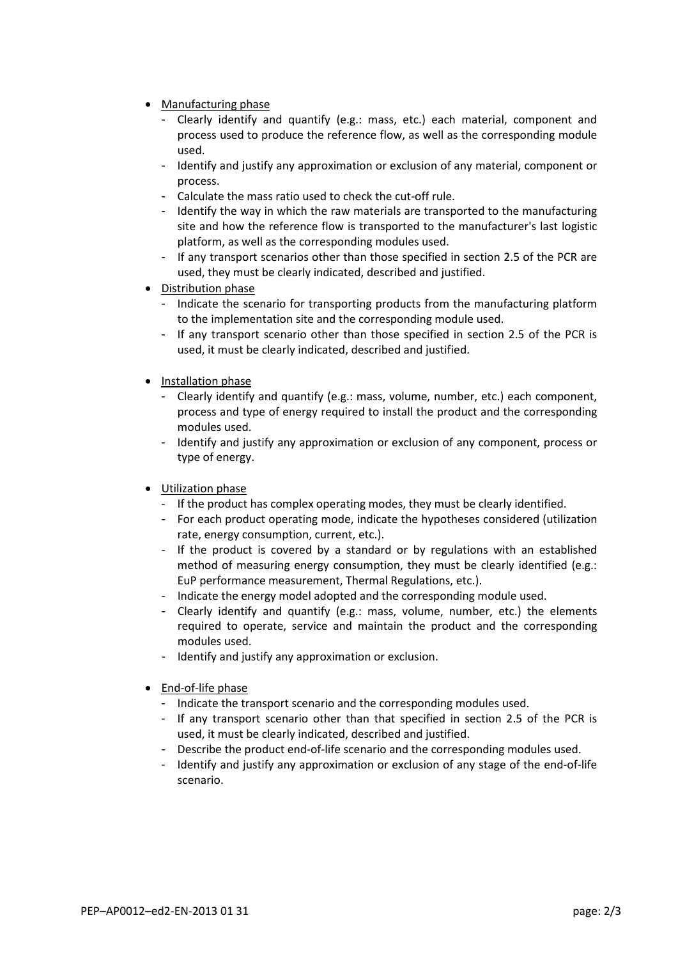- Manufacturing phase
	- Clearly identify and quantify (e.g.: mass, etc.) each material, component and process used to produce the reference flow, as well as the corresponding module used.
	- Identify and justify any approximation or exclusion of any material, component or process.
	- Calculate the mass ratio used to check the cut-off rule.
	- Identify the way in which the raw materials are transported to the manufacturing site and how the reference flow is transported to the manufacturer's last logistic platform, as well as the corresponding modules used.
	- If any transport scenarios other than those specified in section 2.5 of the PCR are used, they must be clearly indicated, described and justified.
- Distribution phase
	- Indicate the scenario for transporting products from the manufacturing platform to the implementation site and the corresponding module used.
	- If any transport scenario other than those specified in section 2.5 of the PCR is used, it must be clearly indicated, described and justified.
- Installation phase
	- Clearly identify and quantify (e.g.: mass, volume, number, etc.) each component, process and type of energy required to install the product and the corresponding modules used.
	- Identify and justify any approximation or exclusion of any component, process or type of energy.
- Utilization phase
	- If the product has complex operating modes, they must be clearly identified.
	- For each product operating mode, indicate the hypotheses considered (utilization rate, energy consumption, current, etc.).
	- If the product is covered by a standard or by regulations with an established method of measuring energy consumption, they must be clearly identified (e.g.: EuP performance measurement, Thermal Regulations, etc.).
	- Indicate the energy model adopted and the corresponding module used.
	- Clearly identify and quantify (e.g.: mass, volume, number, etc.) the elements required to operate, service and maintain the product and the corresponding modules used.
	- Identify and justify any approximation or exclusion.
- End-of-life phase
	- Indicate the transport scenario and the corresponding modules used.
	- If any transport scenario other than that specified in section 2.5 of the PCR is used, it must be clearly indicated, described and justified.
	- Describe the product end-of-life scenario and the corresponding modules used.
	- Identify and justify any approximation or exclusion of any stage of the end-of-life scenario.